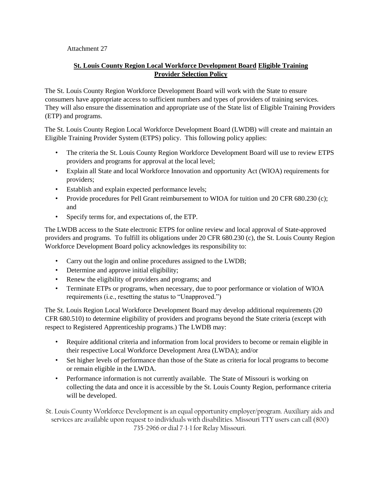Attachment 27

## **St. Louis County Region Local Workforce Development Board Eligible Training Provider Selection Policy**

The St. Louis County Region Workforce Development Board will work with the State to ensure consumers have appropriate access to sufficient numbers and types of providers of training services. They will also ensure the dissemination and appropriate use of the State list of Eligible Training Providers (ETP) and programs.

The St. Louis County Region Local Workforce Development Board (LWDB) will create and maintain an Eligible Training Provider System (ETPS) policy. This following policy applies:

- The criteria the St. Louis County Region Workforce Development Board will use to review ETPS providers and programs for approval at the local level;
- Explain all State and local Workforce Innovation and opportunity Act (WIOA) requirements for providers;
- Establish and explain expected performance levels;
- Provide procedures for Pell Grant reimbursement to WIOA for tuition und 20 CFR 680.230 (c); and
- Specify terms for, and expectations of, the ETP.

The LWDB access to the State electronic ETPS for online review and local approval of State-approved providers and programs. To fulfill its obligations under 20 CFR 680.230 (c), the St. Louis County Region Workforce Development Board policy acknowledges its responsibility to:

- Carry out the login and online procedures assigned to the LWDB;
- Determine and approve initial eligibility;
- Renew the eligibility of providers and programs; and
- Terminate ETPs or programs, when necessary, due to poor performance or violation of WIOA requirements (i.e., resetting the status to "Unapproved.")

The St. Louis Region Local Workforce Development Board may develop additional requirements (20 CFR 680.510) to determine eligibility of providers and programs beyond the State criteria (except with respect to Registered Apprenticeship programs.) The LWDB may:

- Require additional criteria and information from local providers to become or remain eligible in their respective Local Workforce Development Area (LWDA); and/or
- Set higher levels of performance than those of the State as criteria for local programs to become or remain eligible in the LWDA.
- Performance information is not currently available. The State of Missouri is working on collecting the data and once it is accessible by the St. Louis County Region, performance criteria will be developed.

St. Louis County Workforce Development is an equal opportunity employer/program. Auxiliary aids and services are available upon request to individuals with disabilities. Missouri TTY users can call (800) 735-2966 or dial 7-1-1 for Relay Missouri.